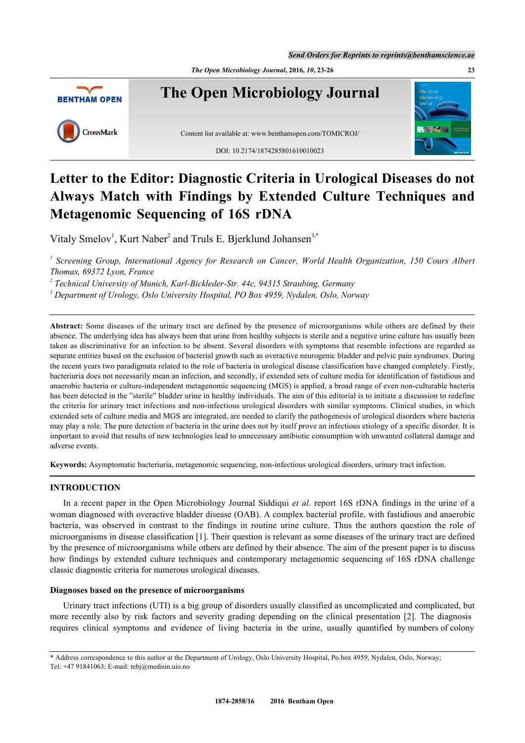*The Open Microbiology Journal***, 2016,** *10***, 23-26 23**



**The Open Microbiology Journal**

CrossMark

Content list available at: [www.benthamopen.com/TOMICROJ/](http://www.benthamopen.com/TOMICROJ/) DOI: [10.2174/1874285801610010023](http://dx.doi.org/10.2174/1874285801610010023)



# **Letter to the Editor: Diagnostic Criteria in Urological Diseases do not Always Match with Findings by Extended Culture Techniques and Metagenomic Sequencing of 16S rDNA**

Vitaly Smelov<sup>[1](#page-0-0)</sup>, Kurt Naber<sup>[2](#page-0-1)</sup> and Truls E. Bjerklund Johansen<sup>[3,](#page-0-2)[\\*](#page-0-3)</sup>

<span id="page-0-0"></span><sup>1</sup> Screening Group, International Agency for Research on Cancer, World Health Organization, 150 Cours Albert *Thomas, 69372 Lyon, France*

<span id="page-0-1"></span><sup>2</sup> Technical University of Munich, Karl-Bickleder-Str. 44c, 94315 Straubing, Germany

<span id="page-0-2"></span>*3 Department of Urology, Oslo University Hospital, PO Box 4959, Nydalen, Oslo, Norway*

**Abstract:** Some diseases of the urinary tract are defined by the presence of microorganisms while others are defined by their absence. The underlying idea has always been that urine from healthy subjects is sterile and a negative urine culture has usually been taken as discriminative for an infection to be absent. Several disorders with symptoms that resemble infections are regarded as separate entities based on the exclusion of bacterial growth such as overactive neurogenic bladder and pelvic pain syndromes. During the recent years two paradigmata related to the role of bacteria in urological disease classification have changed completely. Firstly, bacteriuria does not necessarily mean an infection, and secondly, if extended sets of culture media for identification of fastidious and anaerobic bacteria or culture-independent metagenomic sequencing (MGS) is applied, a broad range of even non-culturable bacteria has been detected in the "sterile" bladder urine in healthy individuals. The aim of this editorial is to initiate a discussion to redefine the criteria for urinary tract infections and non-infectious urological disorders with similar symptoms. Clinical studies, in which extended sets of culture media and MGS are integrated, are needed to clarify the pathogenesis of urological disorders where bacteria may play a role. The pure detection of bacteria in the urine does not by itself prove an infectious etiology of a specific disorder. It is important to avoid that results of new technologies lead to unnecessary antibiotic consumption with unwanted collateral damage and adverse events.

**Keywords:** Asymptomatic bacteriuria, metagenomic sequencing, non-infectious urological disorders, urinary tract infection.

# **INTRODUCTION**

In a recent paper in the Open Microbiology Journal Siddiqui *et al.* report 16S rDNA findings in the urine of a woman diagnosed with overactive bladder disease (OAB). A complex bacterial profile, with fastidious and anaerobic bacteria, was observed in contrast to the findings in routine urine culture. Thus the authors question the role of microorganisms in disease classification [[1\]](#page-2-0). Their question is relevant as some diseases of the urinary tract are defined by the presence of microorganisms while others are defined by their absence. The aim of the present paper is to discuss how findings by extended culture techniques and contemporary metagenomic sequencing of 16S rDNA challenge classic diagnostic criteria for numerous urological diseases.

## **Diagnoses based on the presence of microorganisms**

Urinary tract infections (UTI) is a big group of disorders usually classified as uncomplicated and complicated, but more recently also by risk factors and severity grading depending on the clinical presentation [[2\]](#page-2-1). The diagnosis requires clinical symptoms and evidence of living bacteria in the urine, usually quantified by numbers of colony

<span id="page-0-3"></span><sup>\*</sup> Address correspondence to this author at the Department of Urology, Oslo University Hospital, Po.box 4959, Nydalen, Oslo, Norway; Tel: +47 91841063; E-mail: [tebj@medisin.uio.no](mailto:tebj@medisin.uio.no)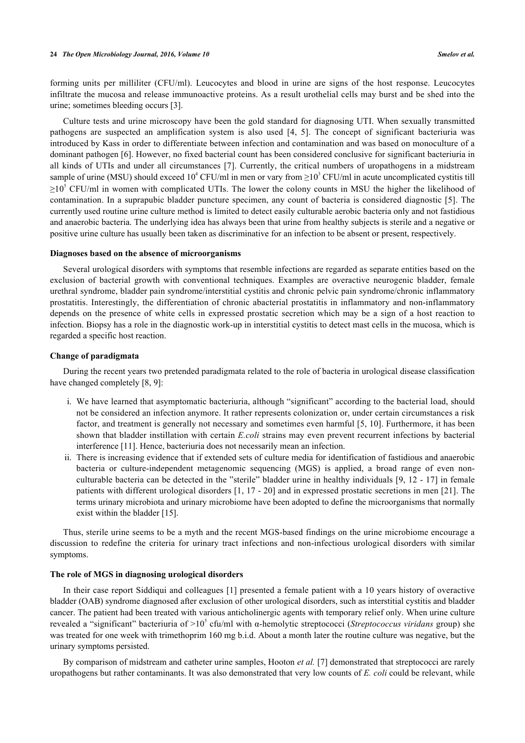forming units per milliliter (CFU/ml). Leucocytes and blood in urine are signs of the host response. Leucocytes infiltrate the mucosa and release immunoactive proteins. As a result urothelial cells may burst and be shed into the urine; sometimes bleeding occurs [[3\]](#page-2-2).

Culture tests and urine microscopy have been the gold standard for diagnosing UTI. When sexually transmitted pathogens are suspected an amplification system is also used [\[4](#page-2-3), [5](#page-3-0)]. The concept of significant bacteriuria was introduced by Kass in order to differentiate between infection and contamination and was based on monoculture of a dominant pathogen [\[6\]](#page-3-1). However, no fixed bacterial count has been considered conclusive for significant bacteriuria in all kinds of UTIs and under all circumstances [\[7\]](#page-3-2). Currently, the critical numbers of uropathogens in a midstream sample of urine (MSU) should exceed  $10^4$  CFU/ml in men or vary from  $\geq 10^3$  CFU/ml in acute uncomplicated cystitis till  $\geq$ 10<sup>5</sup> CFU/ml in women with complicated UTIs. The lower the colony counts in MSU the higher the likelihood of contamination. In a suprapubic bladder puncture specimen, any count of bacteria is considered diagnostic [\[5](#page-3-0)]. The currently used routine urine culture method is limited to detect easily culturable aerobic bacteria only and not fastidious and anaerobic bacteria. The underlying idea has always been that urine from healthy subjects is sterile and a negative or positive urine culture has usually been taken as discriminative for an infection to be absent or present, respectively.

#### **Diagnoses based on the absence of microorganisms**

Several urological disorders with symptoms that resemble infections are regarded as separate entities based on the exclusion of bacterial growth with conventional techniques. Examples are overactive neurogenic bladder, female urethral syndrome, bladder pain syndrome/interstitial cystitis and chronic pelvic pain syndrome/chronic inflammatory prostatitis. Interestingly, the differentiation of chronic abacterial prostatitis in inflammatory and non-inflammatory depends on the presence of white cells in expressed prostatic secretion which may be a sign of a host reaction to infection. Biopsy has a role in the diagnostic work-up in interstitial cystitis to detect mast cells in the mucosa, which is regarded a specific host reaction.

#### **Change of paradigmata**

During the recent years two pretended paradigmata related to the role of bacteria in urological disease classification have changed completely [\[8](#page-3-3), [9](#page-3-4)]:

- i. We have learned that asymptomatic bacteriuria, although "significant" according to the bacterial load, should not be considered an infection anymore. It rather represents colonization or, under certain circumstances a risk factor, and treatment is generally not necessary and sometimes even harmful [\[5,](#page-3-0) [10](#page-3-5)]. Furthermore, it has been shown that bladder instillation with certain *E.coli* strains may even prevent recurrent infections by bacterial interference [\[11](#page-3-6)]. Hence, bacteriuria does not necessarily mean an infection.
- ii. There is increasing evidence that if extended sets of culture media for identification of fastidious and anaerobic bacteria or culture-independent metagenomic sequencing (MGS) is applied, a broad range of even nonculturable bacteria can be detected in the "sterile" bladder urine in healthy individuals [\[9](#page-3-4), [12](#page-3-7) - [17](#page-3-8)] in female patients with different urological disorders [[1](#page-2-0), [17](#page-3-8) - [20](#page-3-9)] and in expressed prostatic secretions in men [[21\]](#page-3-10). The terms urinary microbiota and urinary microbiome have been adopted to define the microorganisms that normally exist within the bladder [[15\]](#page-3-11).

Thus, sterile urine seems to be a myth and the recent MGS-based findings on the urine microbiome encourage a discussion to redefine the criteria for urinary tract infections and non-infectious urological disorders with similar symptoms.

# **The role of MGS in diagnosing urological disorders**

In their case report Siddiqui and colleagues [\[1](#page-2-0)] presented a female patient with a 10 years history of overactive bladder (OAB) syndrome diagnosed after exclusion of other urological disorders, such as interstitial cystitis and bladder cancer. The patient had been treated with various anticholinergic agents with temporary relief only. When urine culture revealed a "significant" bacteriuria of >10<sup>5</sup> cfu/ml with α-hemolytic streptococci (*Streptococcus viridans* group) she was treated for one week with trimethoprim 160 mg b.i.d. About a month later the routine culture was negative, but the urinary symptoms persisted.

By comparison of midstream and catheter urine samples, Hooton *et al.* [\[7](#page-3-2)] demonstrated that streptococci are rarely uropathogens but rather contaminants. It was also demonstrated that very low counts of *E. coli* could be relevant, while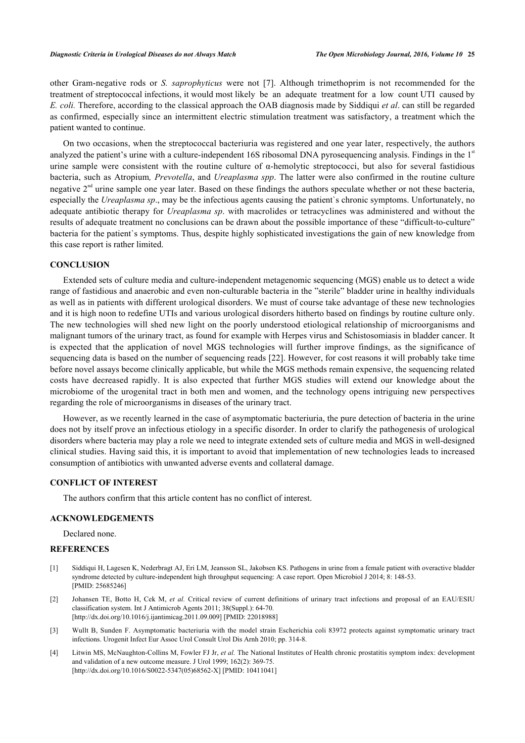other Gram-negative rods or *S. saprophyticus* were not[[7](#page-3-2)]. Although trimethoprim is not recommended for the treatment of streptococcal infections, it would most likely be an adequate treatment for a low count UTI caused by *E. coli.* Therefore, according to the classical approach the OAB diagnosis made by Siddiqui *et al*. can still be regarded as confirmed, especially since an intermittent electric stimulation treatment was satisfactory, a treatment which the patient wanted to continue.

On two occasions, when the streptococcal bacteriuria was registered and one year later, respectively, the authors analyzed the patient's urine with a culture-independent 16S ribosomal DNA pyrosequencing analysis. Findings in the 1<sup>st</sup> urine sample were consistent with the routine culture of  $\alpha$ -hemolytic streptococci, but also for several fastidious bacteria, such as Atropium*, Prevotella*, and *Ureaplasma spp*. The latter were also confirmed in the routine culture negative  $2<sup>nd</sup>$  urine sample one year later. Based on these findings the authors speculate whether or not these bacteria, especially the *Ureaplasma sp*., may be the infectious agents causing the patient`s chronic symptoms. Unfortunately, no adequate antibiotic therapy for *Ureaplasma sp*. with macrolides or tetracyclines was administered and without the results of adequate treatment no conclusions can be drawn about the possible importance of these "difficult-to-culture" bacteria for the patient`s symptoms. Thus, despite highly sophisticated investigations the gain of new knowledge from this case report is rather limited.

## **CONCLUSION**

Extended sets of culture media and culture-independent metagenomic sequencing (MGS) enable us to detect a wide range of fastidious and anaerobic and even non-culturable bacteria in the "sterile" bladder urine in healthy individuals as well as in patients with different urological disorders. We must of course take advantage of these new technologies and it is high noon to redefine UTIs and various urological disorders hitherto based on findings by routine culture only. The new technologies will shed new light on the poorly understood etiological relationship of microorganisms and malignant tumors of the urinary tract, as found for example with Herpes virus and Schistosomiasis in bladder cancer. It is expected that the application of novel MGS technologies will further improve findings, as the significance of sequencing data is based on the number of sequencing reads [[22](#page-3-12)]. However, for cost reasons it will probably take time before novel assays become clinically applicable, but while the MGS methods remain expensive, the sequencing related costs have decreased rapidly. It is also expected that further MGS studies will extend our knowledge about the microbiome of the urogenital tract in both men and women, and the technology opens intriguing new perspectives regarding the role of microorganisms in diseases of the urinary tract.

However, as we recently learned in the case of asymptomatic bacteriuria, the pure detection of bacteria in the urine does not by itself prove an infectious etiology in a specific disorder. In order to clarify the pathogenesis of urological disorders where bacteria may play a role we need to integrate extended sets of culture media and MGS in well-designed clinical studies. Having said this, it is important to avoid that implementation of new technologies leads to increased consumption of antibiotics with unwanted adverse events and collateral damage.

## **CONFLICT OF INTEREST**

The authors confirm that this article content has no conflict of interest.

# **ACKNOWLEDGEMENTS**

Declared none.

## **REFERENCES**

- <span id="page-2-0"></span>[1] Siddiqui H, Lagesen K, Nederbragt AJ, Eri LM, Jeansson SL, Jakobsen KS. Pathogens in urine from a female patient with overactive bladder syndrome detected by culture-independent high throughput sequencing: A case report. Open Microbiol J 2014; 8: 148-53. [PMID: [25685246\]](http://www.ncbi.nlm.nih.gov/pubmed/25685246)
- <span id="page-2-1"></span>[2] Johansen TE, Botto H, Cek M, *et al.* Critical review of current definitions of urinary tract infections and proposal of an EAU/ESIU classification system. Int J Antimicrob Agents 2011; 38(Suppl.): 64-70. [\[http://dx.doi.org/10.1016/j.ijantimicag.2011.09.009](http://dx.doi.org/10.1016/j.ijantimicag.2011.09.009)] [PMID: [22018988\]](http://www.ncbi.nlm.nih.gov/pubmed/22018988)
- <span id="page-2-2"></span>[3] Wullt B, Sunden F. Asymptomatic bacteriuria with the model strain Escherichia coli 83972 protects against symptomatic urinary tract infections. Urogenit Infect Eur Assoc Urol Consult Urol Dis Arnh 2010; pp. 314-8.
- <span id="page-2-3"></span>[4] Litwin MS, McNaughton-Collins M, Fowler FJ Jr, *et al.* The National Institutes of Health chronic prostatitis symptom index: development and validation of a new outcome measure. J Urol 1999; 162(2): 369-75. [\[http://dx.doi.org/10.1016/S0022-5347\(05\)68562-X\]](http://dx.doi.org/10.1016/S0022-5347(05)68562-X) [PMID: [10411041](http://www.ncbi.nlm.nih.gov/pubmed/10411041)]